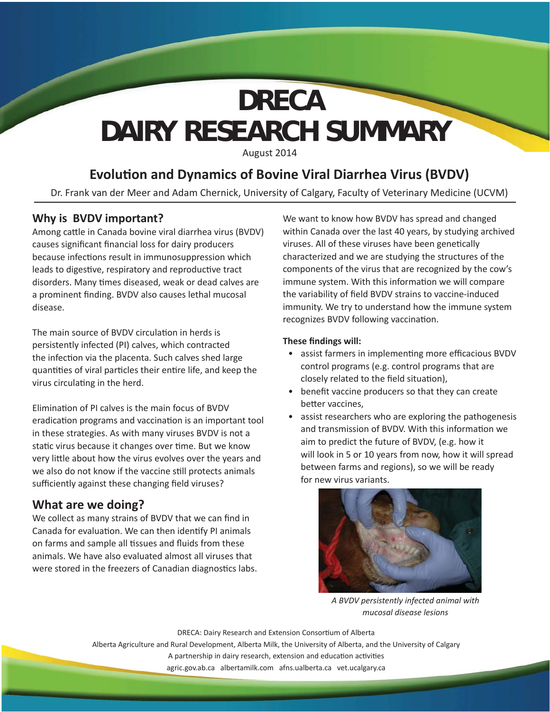# **DAIRY RESEARCH SUMMARY DRECA**

August 2014

## **Evoluti on and Dynamics of Bovine Viral Diarrhea Virus (BVDV)**

Dr. Frank van der Meer and Adam Chernick, University of Calgary, Faculty of Veterinary Medicine (UCVM)

## **Why is BVDV important?**

Among cattle in Canada bovine viral diarrhea virus (BVDV) causes significant financial loss for dairy producers because infections result in immunosuppression which leads to digestive, respiratory and reproductive tract disorders. Many times diseased, weak or dead calves are a prominent finding. BVDV also causes lethal mucosal disease.

The main source of BVDV circulation in herds is persistently infected (PI) calves, which contracted the infection via the placenta. Such calves shed large quantities of viral particles their entire life, and keep the virus circulating in the herd.

Elimination of PI calves is the main focus of BVDV eradication programs and vaccination is an important tool in these strategies. As with many viruses BVDV is not a static virus because it changes over time. But we know very little about how the virus evolves over the years and we also do not know if the vaccine still protects animals sufficiently against these changing field viruses?

### **What are we doing?**

We collect as many strains of BVDV that we can find in Canada for evaluation. We can then identify PI animals on farms and sample all tissues and fluids from these animals. We have also evaluated almost all viruses that were stored in the freezers of Canadian diagnostics labs. We want to know how BVDV has spread and changed within Canada over the last 40 years, by studying archived viruses. All of these viruses have been genetically characterized and we are studying the structures of the components of the virus that are recognized by the cow's immune system. With this information we will compare the variability of field BVDV strains to vaccine-induced immunity. We try to understand how the immune system recognizes BVDV following vaccination.

#### **These findings will:**

- assist farmers in implementing more efficacious BVDV control programs (e.g. control programs that are closely related to the field situation),
- benefit vaccine producers so that they can create better vaccines.
- assist researchers who are exploring the pathogenesis and transmission of BVDV. With this information we aim to predict the future of BVDV, (e.g. how it will look in 5 or 10 years from now, how it will spread between farms and regions), so we will be ready for new virus variants.



*A BVDV persistently infected animal with mucosal disease lesions*

DRECA: Dairy Research and Extension Consortium of Alberta Alberta Agriculture and Rural Development, Alberta Milk, the University of Alberta, and the University of Calgary A partnership in dairy research, extension and education activities agric.gov.ab.ca albertamilk.com afns.ualberta.ca vet.ucalgary.ca